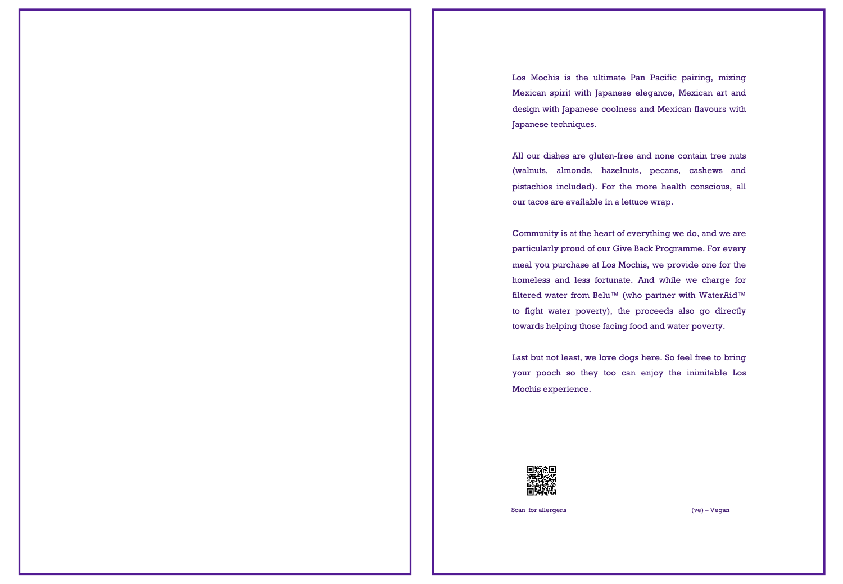Los Mochis is the ultimate Pan Pacific pairing, mixing Mexican spirit with Japanese elegance, Mexican art and design with Japanese coolness and Mexican flavours with Japanese techniques.

All our dishes are gluten-free and none contain tree nuts (walnuts, almonds, hazelnuts, pecans, cashews and pistachios included). For the more health conscious, all our tacos are available in a lettuce wrap.

Community is at the heart of everything we do, and we are particularly proud of our Give Back Programme. For every meal you purchase at Los Mochis, we provide one for the homeless and less fortunate. And while we charge for filtered water from Belu™ (who partner with WaterAid™ to fight water poverty), the proceeds also go directly towards helping those facing food and water poverty.

Last but not least, we love dogs here. So feel free to bring your pooch so they too can enjoy the inimitable Los Mochis experience.



Scan for allergens (ve) – Vegan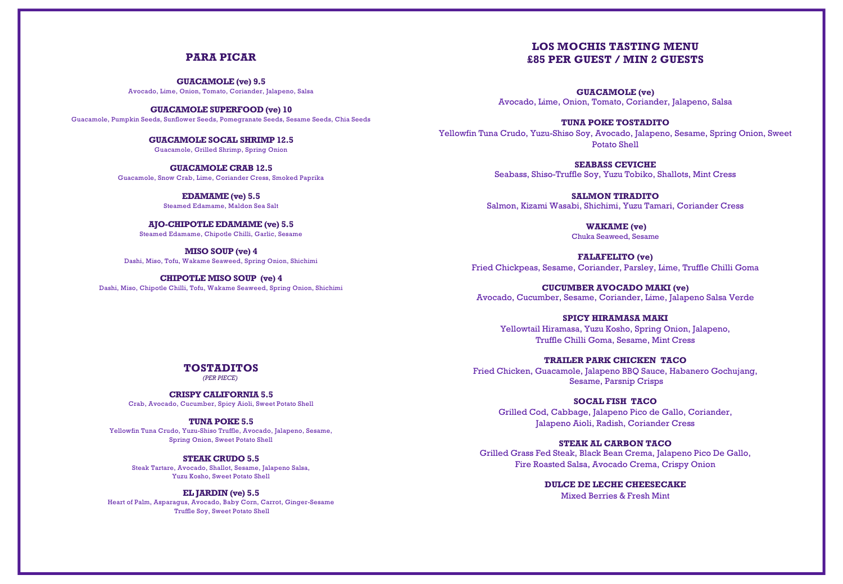# **PARA PICAR**

**GUACAMOLE (ve) 9.5** Avocado, Lime, Onion, Tomato, Coriander, Jalapeno, Salsa

**GUACAMOLE SUPERFOOD (ve) 10** Guacamole, Pumpkin Seeds, Sunflower Seeds, Pomegranate Seeds, Sesame Seeds, Chia Seeds

> **GUACAMOLE SOCAL SHRIMP 12.5** Guacamole, Grilled Shrimp, Spring Onion

**GUACAMOLE CRAB 12.5** Guacamole, Snow Crab, Lime, Coriander Cress, Smoked Paprika

> **EDAMAME (ve) 5.5** Steamed Edamame, Maldon Sea Salt

**AJO-CHIPOTLE EDAMAME (ve) 5.5** Steamed Edamame, Chipotle Chilli, Garlic, Sesame

**MISO SOUP (ve) 4** Dashi, Miso, Tofu, Wakame Seaweed, Spring Onion, Shichimi

**CHIPOTLE MISO SOUP (ve) 4** Dashi, Miso, Chipotle Chilli, Tofu, Wakame Seaweed, Spring Onion, Shichimi

# **LOS MOCHIS TASTING MENU £85 PER GUEST / MIN 2 GUESTS**

**GUACAMOLE (ve)**  Avocado, Lime, Onion, Tomato, Coriander, Jalapeno, Salsa

**TUNA POKE TOSTADITO**  Yellowfin Tuna Crudo, Yuzu-Shiso Soy, Avocado, Jalapeno, Sesame, Spring Onion, Sweet Potato Shell

> **SEABASS CEVICHE**  Seabass, Shiso-Truffle Soy, Yuzu Tobiko, Shallots, Mint Cress

**SALMON TIRADITO**  Salmon, Kizami Wasabi, Shichimi, Yuzu Tamari, Coriander Cress

> **WAKAME (ve)**  Chuka Seaweed, Sesame

**FALAFELITO (ve)**  Fried Chickpeas, Sesame, Coriander, Parsley, Lime, Truffle Chilli Goma

**CUCUMBER AVOCADO MAKI (ve)**  Avocado, Cucumber, Sesame, Coriander, Lime, Jalapeno Salsa Verde

## **SPICY HIRAMASA MAKI**

Yellowtail Hiramasa, Yuzu Kosho, Spring Onion, Jalapeno, Truffle Chilli Goma, Sesame, Mint Cress

## **TRAILER PARK CHICKEN TACO**

Fried Chicken, Guacamole, Jalapeno BBQ Sauce, Habanero Gochujang, Sesame, Parsnip Crisps

## **SOCAL FISH TACO**

Grilled Cod, Cabbage, Jalapeno Pico de Gallo, Coriander, Jalapeno Aioli, Radish, Coriander Cress

## **STEAK AL CARBON TACO**

Grilled Grass Fed Steak, Black Bean Crema, Jalapeno Pico De Gallo, Fire Roasted Salsa, Avocado Crema, Crispy Onion

> **DULCE DE LECHE CHEESECAKE**  Mixed Berries & Fresh Mint

## **TOSTADITOS**

*(PER PIECE)*

#### **CRISPY CALIFORNIA 5.5**

Crab, Avocado, Cucumber, Spicy Aioli, Sweet Potato Shell

#### **TUNA POKE 5.5**

Yellowfin Tuna Crudo, Yuzu-Shiso Truffle, Avocado, Jalapeno, Sesame, Spring Onion, Sweet Potato Shell

#### **STEAK CRUDO 5.5**

Steak Tartare, Avocado, Shallot, Sesame, Jalapeno Salsa, Yuzu Kosho, Sweet Potato Shell

#### **EL JARDIN (ve) 5.5**

Heart of Palm, Asparagus, Avocado, Baby Corn, Carrot, Ginger-Sesame Truffle Soy, Sweet Potato Shell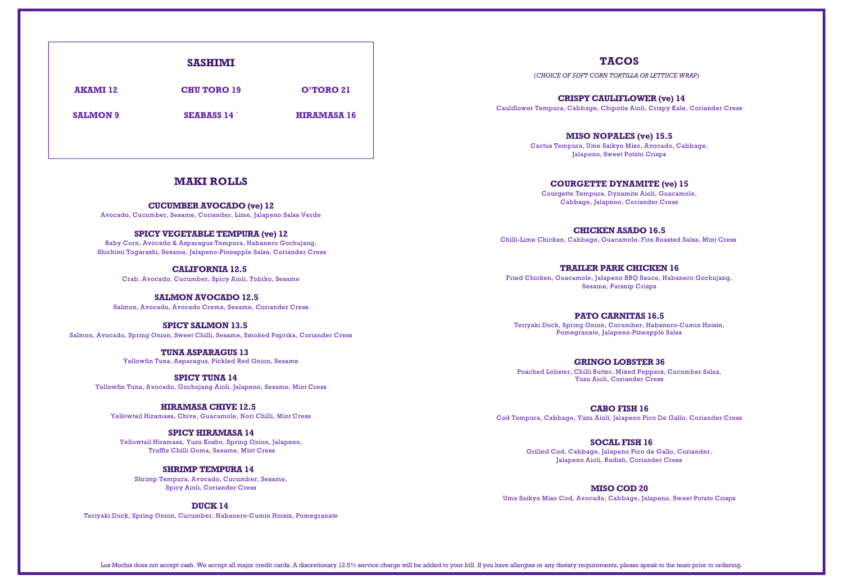# **SASHIMI AKAMI 12 CHU TORO 19 O'TORO 21 SALMON 9 SEABASS 14** ` **HIRAMASA 16**

## **MAKI ROLLS**

**CUCUMBER AVOCADO (ve) 12** Avocado, Cucumber, Sesame, Coriander, Lime, Jalapeno Salsa Verde

#### **SPICY VEGETABLE TEMPURA (ve) 12**

Baby Corn, Avocado & Asparagus Tempura, Habanero Gochujang, Shichimi Togarashi, Sesame, Jalapeno-Pineapple Salsa, Coriander Cress

> **CALIFORNIA 12.5** Crab, Avocado, Cucumber, Spicy Aioli, Tobiko, Sesame

**SALMON AVOCADO 12.5** Salmon, Avocado, Avocado Crema, Sesame, Coriander Cress

**SPICY SALMON 13.5** Salmon, Avocado, Spring Onion, Sweet Chilli, Sesame, Smoked Paprika, Coriander Cress

> **TUNA ASPARAGUS 13** Yellowfin Tuna, Asparagus, Pickled Red Onion, Sesame

**SPICY TUNA 14** Yellowfin Tuna, Avocado, Gochujang Aioli, Jalapeno, Sesame, Mint Cress

**HIRAMASA CHIVE 12.5** Yellowtail Hiramasa, Chive, Guacamole, Nori Chilli, Mint Cress

#### **SPICY HIRAMASA 14**

Yellowtail Hiramasa, Yuzu Kosho, Spring Onion, Jalapeno, Truffle Chilli Goma, Sesame, Mint Cress

## **SHRIMP TEMPURA 14**

Shrimp Tempura, Avocado, Cucumber, Sesame, Spicy Aioli, Coriander Cress

**DUCK 14**

Teriyaki Duck, Spring Onion, Cucumber, Habanero-Cumin Hoisin, Pomegranate

# **TACOS**

*(CHOICE OF SOFT CORN TORTILLA OR LETTUCE WRAP)*

**CRISPY CAULIFLOWER (ve) 14** Cauliflower Tempura, Cabbage, Chipotle Aioli, Crispy Kale, Coriander Cress

> **MISO NOPALES (ve) 15.5** Cactus Tempura, Ume Saikyo Miso, Avocado, Cabbage, Jalapeno, Sweet Potato Crisps

## **COURGETTE DYNAMITE (ve) 15**

Courgette Tempura, Dynamite Aioli, Guacamole, Cabbage, Jalapeno, Coriander Cress

**CHICKEN ASADO 16.5** Chilli-Lime Chicken, Cabbage, Guacamole, Fire Roasted Salsa, Mint Cress

**TRAILER PARK CHICKEN 16**

Fried Chicken, Guacamole, Jalapeno BBQ Sauce, Habanero Gochujang, Sesame, Parsnip Crisps

#### **PATO CARNITAS 16.5**

Teriyaki Duck, Spring Onion, Cucumber, Habanero-Cumin Hoisin, Pomegranate, Jalapeno-Pineapple Salsa

**GRINGO LOBSTER 36** Poached Lobster, Chilli Butter, Mixed Peppers, Cucumber Salsa, Yuzu Aioli, Coriander Cress

**CABO FISH 16** Cod Tempura, Cabbage, Yuzu Aioli, Jalapeno Pico De Gallo, Coriander Cress

> **SOCAL FISH 16**  Grilled Cod, Cabbage, Jalapeno Pico de Gallo, Coriander, Jalapeno Aioli, Radish, Coriander Cress

**MISO COD 20**  Ume Saikyo Miso Cod, Avocado, Cabbage, Jalapeno, Sweet Potato Crisps

Los Mochis does not accept cash. We accept all major credit cards. A discretionary 12.5% service charge will be added to your bill. If you have allergies or any dietary requirements, please speak to the team prior to order